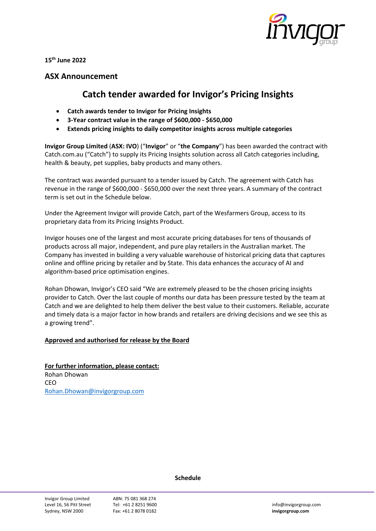

**15th June 2022**

## **ASX Announcement**

## **Catch tender awarded for Invigor's Pricing Insights**

- **Catch awards tender to Invigor for Pricing Insights**
- **3-Year contract value in the range of \$600,000 - \$650,000**
- **Extends pricing insights to daily competitor insights across multiple categories**

**Invigor Group Limited** (**ASX: IVO**) ("**Invigor**" or "**the Company**") has been awarded the contract with Catch.com.au ("Catch") to supply its Pricing Insights solution across all Catch categories including, health & beauty, pet supplies, baby products and many others.

The contract was awarded pursuant to a tender issued by Catch. The agreement with Catch has revenue in the range of \$600,000 - \$650,000 over the next three years. A summary of the contract term is set out in the Schedule below.

Under the Agreement Invigor will provide Catch, part of the Wesfarmers Group, access to its proprietary data from its Pricing Insights Product.

Invigor houses one of the largest and most accurate pricing databases for tens of thousands of products across all major, independent, and pure play retailers in the Australian market. The Company has invested in building a very valuable warehouse of historical pricing data that captures online and offline pricing by retailer and by State. This data enhances the accuracy of AI and algorithm-based price optimisation engines.

Rohan Dhowan, Invigor's CEO said "We are extremely pleased to be the chosen pricing insights provider to Catch. Over the last couple of months our data has been pressure tested by the team at Catch and we are delighted to help them deliver the best value to their customers. Reliable, accurate and timely data is a major factor in how brands and retailers are driving decisions and we see this as a growing trend".

## **Approved and authorised for release by the Board**

**For further information, please contact:** Rohan Dhowan CEO [Rohan.Dhowan@invigorgroup.com](mailto:Rohan.Dhowan@invigorgroup.com)

**Schedule**